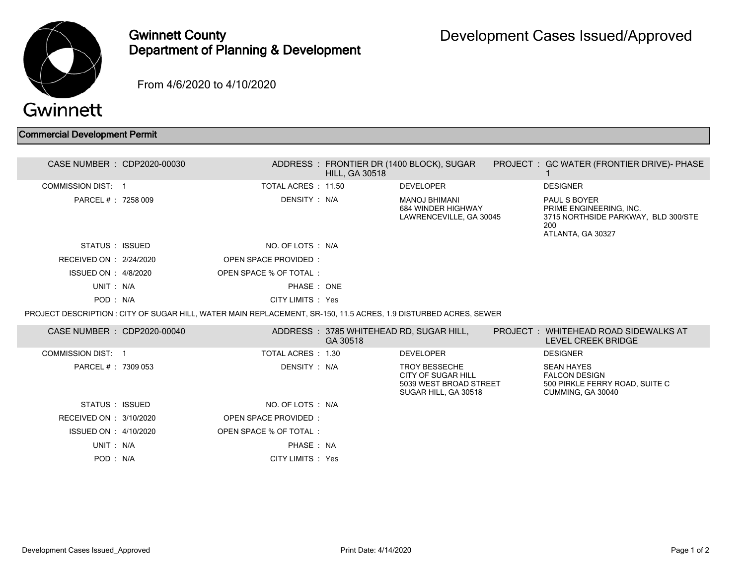

## Gwinnett County Department of Planning & Development

From 4/6/2020 to 4/10/2020

## Commercial Development Permit

| CASE NUMBER : CDP2020-00030 |                                                                                                                  | <b>HILL, GA 30518</b> | ADDRESS: FRONTIER DR (1400 BLOCK), SUGAR                                                     | PROJECT : GC WATER (FRONTIER DRIVE)- PHASE                                                                        |
|-----------------------------|------------------------------------------------------------------------------------------------------------------|-----------------------|----------------------------------------------------------------------------------------------|-------------------------------------------------------------------------------------------------------------------|
| <b>COMMISSION DIST: 1</b>   | TOTAL ACRES: 11.50                                                                                               |                       | <b>DEVELOPER</b>                                                                             | <b>DESIGNER</b>                                                                                                   |
| PARCEL # : 7258 009         | DENSITY : N/A                                                                                                    |                       | <b>MANOJ BHIMANI</b><br>684 WINDER HIGHWAY<br>LAWRENCEVILLE, GA 30045                        | <b>PAUL S BOYER</b><br>PRIME ENGINEERING, INC.<br>3715 NORTHSIDE PARKWAY, BLD 300/STE<br>200<br>ATLANTA, GA 30327 |
| STATUS : ISSUED             | NO. OF LOTS : N/A                                                                                                |                       |                                                                                              |                                                                                                                   |
| RECEIVED ON : 2/24/2020     | OPEN SPACE PROVIDED:                                                                                             |                       |                                                                                              |                                                                                                                   |
| ISSUED ON : 4/8/2020        | OPEN SPACE % OF TOTAL:                                                                                           |                       |                                                                                              |                                                                                                                   |
| UNIT: N/A                   | PHASE: ONE                                                                                                       |                       |                                                                                              |                                                                                                                   |
| POD: N/A                    | CITY LIMITS : Yes                                                                                                |                       |                                                                                              |                                                                                                                   |
|                             | PROJECT DESCRIPTION : CITY OF SUGAR HILL, WATER MAIN REPLACEMENT, SR-150, 11.5 ACRES, 1.9 DISTURBED ACRES, SEWER |                       |                                                                                              |                                                                                                                   |
| CASE NUMBER : CDP2020-00040 |                                                                                                                  | GA 30518              | ADDRESS: 3785 WHITEHEAD RD, SUGAR HILL,                                                      | PROJECT: WHITEHEAD ROAD SIDEWALKS AT<br>LEVEL CREEK BRIDGE                                                        |
| <b>COMMISSION DIST: 1</b>   | TOTAL ACRES : 1.30                                                                                               |                       | <b>DEVELOPER</b>                                                                             | <b>DESIGNER</b>                                                                                                   |
| PARCEL # : 7309 053         | DENSITY : N/A                                                                                                    |                       | <b>TROY BESSECHE</b><br>CITY OF SUGAR HILL<br>5039 WEST BROAD STREET<br>SUGAR HILL, GA 30518 | <b>SEAN HAYES</b><br><b>FALCON DESIGN</b><br>500 PIRKLE FERRY ROAD, SUITE C<br>CUMMING, GA 30040                  |
| STATUS : ISSUED             | NO. OF LOTS : N/A                                                                                                |                       |                                                                                              |                                                                                                                   |
| RECEIVED ON : 3/10/2020     | OPEN SPACE PROVIDED:                                                                                             |                       |                                                                                              |                                                                                                                   |
| ISSUED ON : 4/10/2020       | OPEN SPACE % OF TOTAL:                                                                                           |                       |                                                                                              |                                                                                                                   |
| UNIT: N/A                   | PHASE : NA                                                                                                       |                       |                                                                                              |                                                                                                                   |
|                             |                                                                                                                  |                       |                                                                                              |                                                                                                                   |